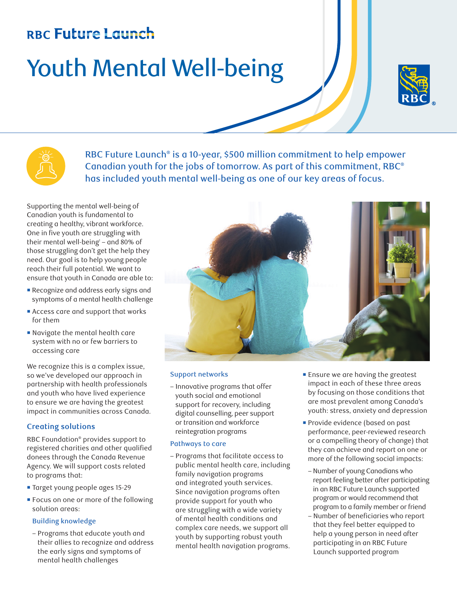## **RBC Future Launch**

# Youth Mental Well-being





RBC Future Launch® is a 10-year, \$500 million commitment to help empower Canadian youth for the jobs of tomorrow. As part of this commitment, RBC® has included youth mental well-being as one of our key areas of focus.

Supporting the mental well-being of Canadian youth is fundamental to creating a healthy, vibrant workforce. One in five youth are struggling with their mental well-being $-$  and 80% of those struggling don't get the help they need. Our goal is to help young people reach their full potential. We want to ensure that youth in Canada are able to:

- ¡ Recognize and address early signs and symptoms of a mental health challenge
- ¡ Access care and support that works for them
- ¡ Navigate the mental health care system with no or few barriers to accessing care

We recognize this is a complex issue, so we've developed our approach in partnership with health professionals and youth who have lived experience to ensure we are having the greatest impact in communities across Canada.

#### **Creating solutions**

RBC Foundation® provides support to registered charities and other qualified donees through the Canada Revenue Agency. We will support costs related to programs that:

- ¡ Target young people ages 15-29
- Focus on one or more of the following solution areas:

#### Building knowledge

– Programs that educate youth and their allies to recognize and address the early signs and symptoms of mental health challenges



#### Support networks

– Innovative programs that offer youth social and emotional support for recovery, including digital counselling, peer support or transition and workforce reintegration programs

#### Pathways to care

- Programs that facilitate access to public mental health care, including family navigation programs and integrated youth services. Since navigation programs often provide support for youth who are struggling with a wide variety of mental health conditions and complex care needs, we support all youth by supporting robust youth mental health navigation programs.
- **Ensure we are having the greatest** impact in each of these three areas by focusing on those conditions that are most prevalent among Canada's youth: stress, anxiety and depression
- **Provide evidence (based on past** performance, peer-reviewed research or a compelling theory of change) that they can achieve and report on one or more of the following social impacts:
- Number of young Canadians who report feeling better after participating in an RBC Future Launch supported program or would recommend that program to a family member or friend
- Number of beneficiaries who report that they feel better equipped to help a young person in need after participating in an RBC Future Launch supported program